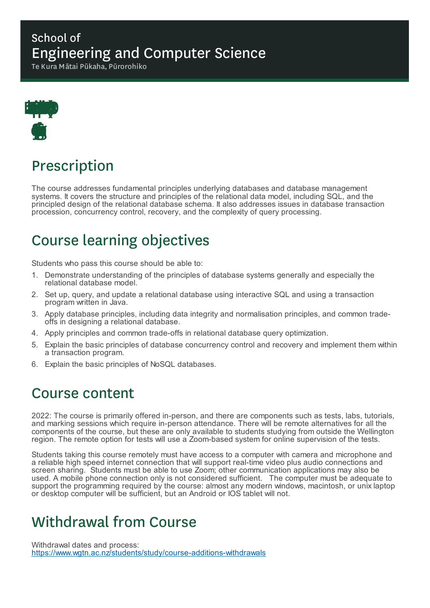#### School of Engineering and Computer Science

Te Kura Mātai Pūkaha, Pūrorohiko



# Prescription

The course addresses fundamental principles underlying databases and database management systems. It covers the structure and principles of the relational data model, including SQL, and the principled design of the relational database schema. It also addresses issues in database transaction procession, concurrency control, recovery, and the complexity of query processing.

# Course learning objectives

Students who pass this course should be able to:

- 1. Demonstrate understanding of the principles of database systems generally and especially the relational database model.
- 2. Set up, query, and update a relational database using interactive SQL and using a transaction program written in Java.
- 3. Apply database principles, including data integrity and normalisation principles, and common tradeoffs in designing a relational database.
- 4. Apply principles and common trade-offs in relational database query optimization.
- 5. Explain the basic principles of database concurrency control and recovery and implement them within a transaction program.
- 6. Explain the basic principles of NoSQL databases.

#### Course content

2022: The course is primarily offered in-person, and there are components such as tests, labs, tutorials, and marking sessions which require in-person attendance. There will be remote alternatives for all the components of the course, but these are only available to students studying from outside the Wellington region. The remote option for tests will use a Zoom-based system for online supervision of the tests.

Students taking this course remotely must have access to a computer with camera and microphone and a reliable high speed internet connection that will support real-time video plus audio connections and screen sharing. Students must be able to use Zoom; other communication applications may also be used. A mobile phone connection only is not considered sufficient. The computer must be adequate to support the programming required by the course: almost any modern windows, macintosh, or unix laptop or desktop computer will be sufficient, but an Android or IOS tablet will not.

## Withdrawal from Course

Withdrawal dates and process: https://www.wgtn.ac.nz/students/study/course-additions-withdrawals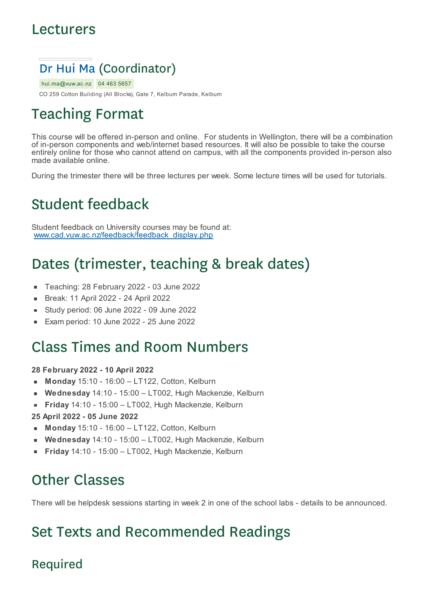#### Lecturers



hui.ma@vuw.ac.nz 04 463 5657

CO 259 Cotton Building (All Blocks), Gate 7, Kelburn Parade, Kelburn

## Teaching Format

This course will be offered in-person and online. For students in Wellington, there will be a combination of in-person components and web/internet based resources. It will also be possible to take the course entirely online for those who cannot attend on campus, with all the components provided in-person also made available online.

During the trimester there will be three lectures per week. Some lecture times will be used for tutorials.

# Student feedback

Student feedback on University courses may be found at: www.cad.vuw.ac.nz/feedback/feedback\_display.php

# Dates (trimester, teaching & break dates)

- Teaching: 28 February 2022 03 June 2022
- Break: 11 April 2022 24 April 2022  $\blacksquare$
- Study period: 06 June 2022 09 June 2022
- Exam period: 10 June 2022 25 June 2022

#### Class Times and Room Numbers

#### **28 February 2022 - 10 April 2022**

- **Monday** 15:10 16:00 LT122, Cotton, Kelburn  $\blacksquare$
- **Wednesday** 14:10 15:00 LT002, Hugh Mackenzie, Kelburn
- **Friday** 14:10 15:00 LT002, Hugh Mackenzie, Kelburn

#### **25 April 2022 - 05 June 2022**

- **Monday** 15:10 16:00 LT122, Cotton, Kelburn  $\mathbf{m}$
- **Wednesday** 14:10 15:00 LT002, Hugh Mackenzie, Kelburn
- **Friday** 14:10 15:00 LT002, Hugh Mackenzie, Kelburn

## Other Classes

There will be helpdesk sessions starting in week 2 in one of the school labs - details to be announced.

# Set Texts and Recommended Readings

#### Required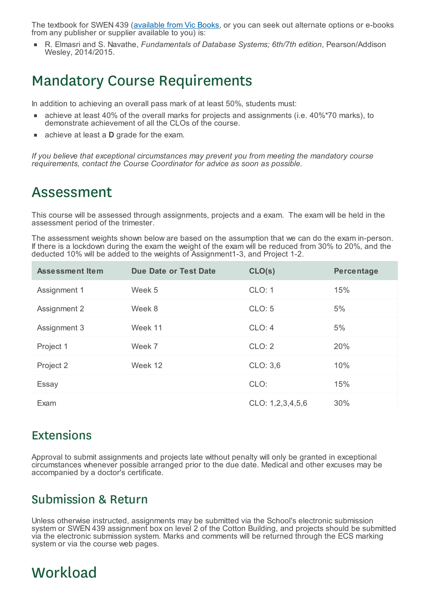The textbook for SWEN 439 (available from Vic Books, or you can seek out alternate options or e-books from any publisher or supplier available to you) is:

R. Elmasri and S. Navathe, *Fundamentals of Database Systems; 6th/7th edition*, Pearson/Addison Wesley, 2014/2015.

#### Mandatory Course Requirements

In addition to achieving an overall pass mark of at least 50%, students must:

- achieve at least 40% of the overall marks for projects and assignments (i.e. 40%\*70 marks), to demonstrate achievement of all the CLOs of the course.
- achieve at least a **D** grade for the exam.

*If you believe that exceptional circumstances may prevent you from meeting the mandatory course requirements, contact the Course Coordinator for advice as soon as possible.*

#### Assessment

This course will be assessed through assignments, projects and a exam. The exam will be held in the assessment period of the trimester.

The assessment weights shown below are based on the assumption that we can do the exam in-person. If there is a lockdown during the exam the weight of the exam will be reduced from 30% to 20%, and the deducted 10% will be added to the weights of Assignment1-3, and Project 1-2.

| <b>Assessment Item</b> | <b>Due Date or Test Date</b> | CLO(s)           | <b>Percentage</b> |
|------------------------|------------------------------|------------------|-------------------|
| Assignment 1           | Week 5                       | CLO: 1           | 15%               |
| Assignment 2           | Week 8                       | CLO: 5           | 5%                |
| Assignment 3           | Week 11                      | CLO: 4           | 5%                |
| Project 1              | Week 7                       | CLO: 2           | 20%               |
| Project 2              | Week 12                      | CLO: 3,6         | 10%               |
| Essay                  |                              | CLO:             | 15%               |
| Exam                   |                              | CLO: 1,2,3,4,5,6 | 30%               |

#### Extensions

Approval to submit assignments and projects late without penalty will only be granted in exceptional circumstances whenever possible arranged prior to the due date. Medical and other excuses may be accompanied by a doctor's certificate.

#### Submission & Return

Unless otherwise instructed, assignments may be submitted via the School's electronic submission system or SWEN 439 assignment box on level 2 of the Cotton Building, and projects should be submitted via the electronic submission system. Marks and comments will be returned through the ECS marking system or via the course web pages.

## **Workload**